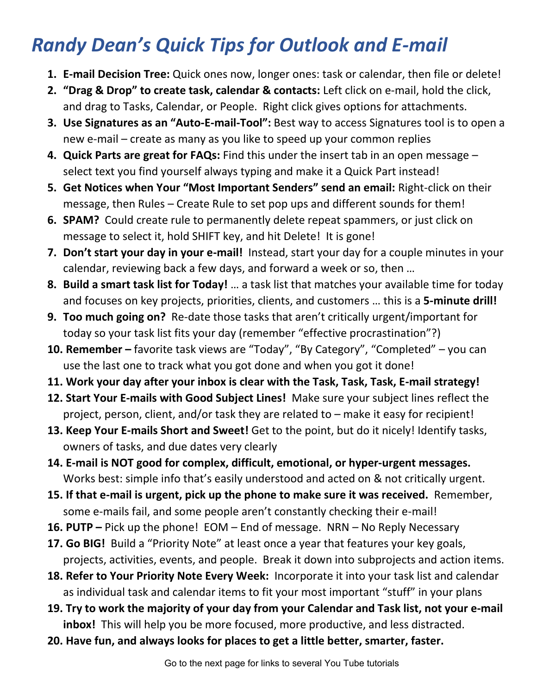## *Randy Dean's Quick Tips for Outlook and E-mail*

- **1. E-mail Decision Tree:** Quick ones now, longer ones: task or calendar, then file or delete!
- **2. "Drag & Drop" to create task, calendar & contacts:** Left click on e-mail, hold the click, and drag to Tasks, Calendar, or People. Right click gives options for attachments.
- **3. Use Signatures as an "Auto-E-mail-Tool":** Best way to access Signatures tool is to open a new e-mail – create as many as you like to speed up your common replies
- **4. Quick Parts are great for FAQs:** Find this under the insert tab in an open message select text you find yourself always typing and make it a Quick Part instead!
- **5. Get Notices when Your "Most Important Senders" send an email:** Right-click on their message, then Rules – Create Rule to set pop ups and different sounds for them!
- **6. SPAM?** Could create rule to permanently delete repeat spammers, or just click on message to select it, hold SHIFT key, and hit Delete! It is gone!
- **7. Don't start your day in your e-mail!** Instead, start your day for a couple minutes in your calendar, reviewing back a few days, and forward a week or so, then …
- **8. Build a smart task list for Today!** … a task list that matches your available time for today and focuses on key projects, priorities, clients, and customers … this is a **5-minute drill!**
- **9. Too much going on?** Re-date those tasks that aren't critically urgent/important for today so your task list fits your day (remember "effective procrastination"?)
- **10. Remember –** favorite task views are "Today", "By Category", "Completed" you can use the last one to track what you got done and when you got it done!
- **11. Work your day after your inbox is clear with the Task, Task, Task, E-mail strategy!**
- **12. Start Your E-mails with Good Subject Lines!** Make sure your subject lines reflect the project, person, client, and/or task they are related to – make it easy for recipient!
- **13. Keep Your E-mails Short and Sweet!** Get to the point, but do it nicely! Identify tasks, owners of tasks, and due dates very clearly
- **14. E-mail is NOT good for complex, difficult, emotional, or hyper-urgent messages.**  Works best: simple info that's easily understood and acted on & not critically urgent.
- **15. If that e-mail is urgent, pick up the phone to make sure it was received.** Remember, some e-mails fail, and some people aren't constantly checking their e-mail!
- **16. PUTP –** Pick up the phone! EOM End of message. NRN No Reply Necessary
- **17. Go BIG!** Build a "Priority Note" at least once a year that features your key goals, projects, activities, events, and people. Break it down into subprojects and action items.
- **18. Refer to Your Priority Note Every Week:** Incorporate it into your task list and calendar as individual task and calendar items to fit your most important "stuff" in your plans
- **19. Try to work the majority of your day from your Calendar and Task list, not your e-mail inbox!** This will help you be more focused, more productive, and less distracted.
- **20. Have fun, and always looks for places to get a little better, smarter, faster.**